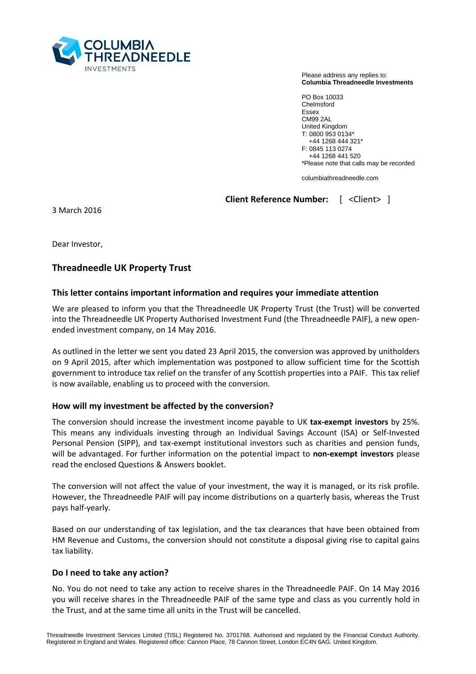

Please address any replies to: **Columbia Threadneedle Investments**

PO Box 10033 Chelmsford Essex CM99 2AL United Kingdom T: 0800 953 0134\* +44 1268 444 321\* F: 0845 113 0274 +44 1268 441 520 \*Please note that calls may be recorded

columbiathreadneedle.com

**Client Reference Number:** [ <Client> ]

3 March 2016

Dear Investor,

# **Threadneedle UK Property Trust**

## **This letter contains important information and requires your immediate attention**

We are pleased to inform you that the Threadneedle UK Property Trust (the Trust) will be converted into the Threadneedle UK Property Authorised Investment Fund (the Threadneedle PAIF), a new openended investment company, on 14 May 2016.

As outlined in the letter we sent you dated 23 April 2015, the conversion was approved by unitholders on 9 April 2015, after which implementation was postponed to allow sufficient time for the Scottish government to introduce tax relief on the transfer of any Scottish properties into a PAIF. This tax relief is now available, enabling us to proceed with the conversion.

## **How will my investment be affected by the conversion?**

The conversion should increase the investment income payable to UK **tax-exempt investors** by 25%. This means any individuals investing through an Individual Savings Account (ISA) or Self-Invested Personal Pension (SIPP), and tax-exempt institutional investors such as charities and pension funds, will be advantaged. For further information on the potential impact to **non-exempt investors** please read the enclosed Questions & Answers booklet.

The conversion will not affect the value of your investment, the way it is managed, or its risk profile. However, the Threadneedle PAIF will pay income distributions on a quarterly basis, whereas the Trust pays half-yearly.

Based on our understanding of tax legislation, and the tax clearances that have been obtained from HM Revenue and Customs, the conversion should not constitute a disposal giving rise to capital gains tax liability.

## **Do I need to take any action?**

No. You do not need to take any action to receive shares in the Threadneedle PAIF. On 14 May 2016 you will receive shares in the Threadneedle PAIF of the same type and class as you currently hold in the Trust, and at the same time all units in the Trust will be cancelled.